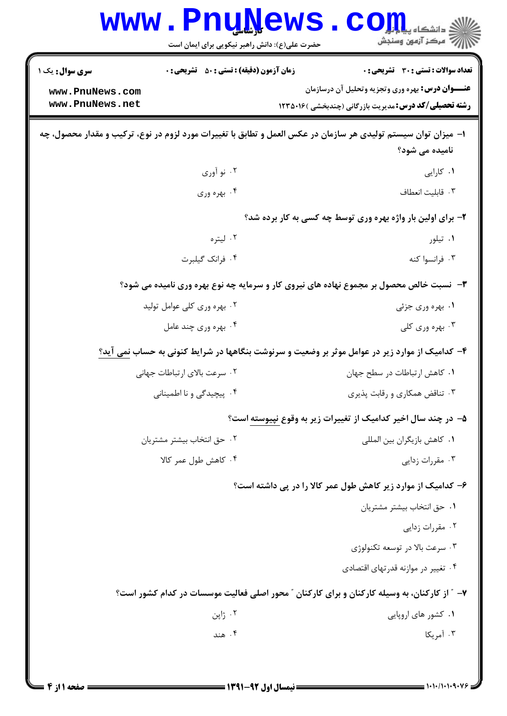|                                    | <b>www.PnuNews</b><br>حضرت علی(ع): دانش راهبر نیکویی برای ایمان است | : دانشکاه پ <b>یایایا</b><br>ر آمرڪز آزمون وسنڊش                                                                                 |
|------------------------------------|---------------------------------------------------------------------|----------------------------------------------------------------------------------------------------------------------------------|
| <b>سری سوال :</b> یک ۱             | <b>زمان آزمون (دقیقه) : تستی : 50 ٪ تشریحی : 0</b>                  | تعداد سوالات : تستى : 30 قشريحى : 0                                                                                              |
| www.PnuNews.com<br>www.PnuNews.net |                                                                     | <b>عنـــوان درس:</b> بهره وري وتجزيه وتحليل آن درسازمان<br><b>رشته تحصیلی/کد درس: م</b> دیریت بازرگانی (چندبخشی )۱۲۳۵۰۱۶         |
|                                    |                                                                     | ا– میزان توان سیستم تولیدی هر سازمان در عکس العمل و تطابق با تغییرات مورد لزوم در نوع، ترکیب و مقدار محصول، چه<br>نامیده می شود؟ |
|                                    | ۰۲ نو آوري                                                          | ۰۱ کارایی                                                                                                                        |
|                                    | ۰۴ بهره وري                                                         | ٠٣ قابليت انعطاف                                                                                                                 |
|                                    |                                                                     | ۲- برای اولین بار واژه بهره وری توسط چه کسی به کار برده شد؟                                                                      |
|                                    | ۰۲ لیتره                                                            | ۰۱ تیلور                                                                                                                         |
|                                    | ۰۴ فرانک گیلبرت                                                     | ۰۳ فرانسوا کنه                                                                                                                   |
|                                    |                                                                     | ۳- نسبت خالص محصول بر مجموع نهاده های نیروی کار و سرمایه چه نوع بهره وری نامیده می شود؟                                          |
|                                    | ۰۲ بهره وری کلی عوامل تولید                                         | ۰۱ بهره وری جزئی                                                                                                                 |
|                                    | ۰۴ بهره وری چند عامل                                                | ۰۳ بهره وري کلي                                                                                                                  |
|                                    |                                                                     | ۴- کدامیک از موارد زیر در عوامل موثر بر وضعیت و سرنوشت بنگاهها در شرایط کنونی به حساب <u>نمی</u> آید؟                            |
|                                    | ٠٢ سرعت بالاي ارتباطات جهاني                                        | ٠١ كاهش ارتباطات در سطح جهان                                                                                                     |
|                                    | ۰۴ پیچیدگی و نا اطمینانی                                            | ۰۳ تناقض همکاری و رقابت پذیری                                                                                                    |
|                                    |                                                                     | ۵– در چند سال اخیر کدامیک از تغییرات زیر به وقوع نپیوسته است؟                                                                    |
|                                    | ۰۲ حق انتخاب بيشتر مشتريان                                          | ٠١ كاهش بازيگران بين المللي                                                                                                      |
|                                    | ۰۴ کاهش طول عمر کالا                                                | ۰۳ مقررات زدایی                                                                                                                  |
|                                    |                                                                     | ۶– کدامیک از موارد زیر کاهش طول عمر کالا را در پی داشته است؟                                                                     |
|                                    |                                                                     | ٠١ حق انتخاب بيشتر مشتريان                                                                                                       |
|                                    |                                                                     | ۰۲ مقررات زدایی                                                                                                                  |
|                                    |                                                                     | ۰۳ سرعت بالا در توسعه تکنولوژی                                                                                                   |
|                                    |                                                                     | ۰۴ تغییر در موازنه قدرتهای اقتصادی                                                                                               |
|                                    |                                                                     | ۷- ″ از کارکنان، به وسیله کارکنان و برای کارکنان ″ محور اصلی فعالیت موسسات در کدام کشور است؟                                     |
|                                    | ۰۲ ژاپن                                                             | ۰۱ کشور های اروپایی                                                                                                              |
|                                    | ۰۴ هند                                                              | ۰۳ آمریکا                                                                                                                        |
|                                    |                                                                     |                                                                                                                                  |
|                                    |                                                                     |                                                                                                                                  |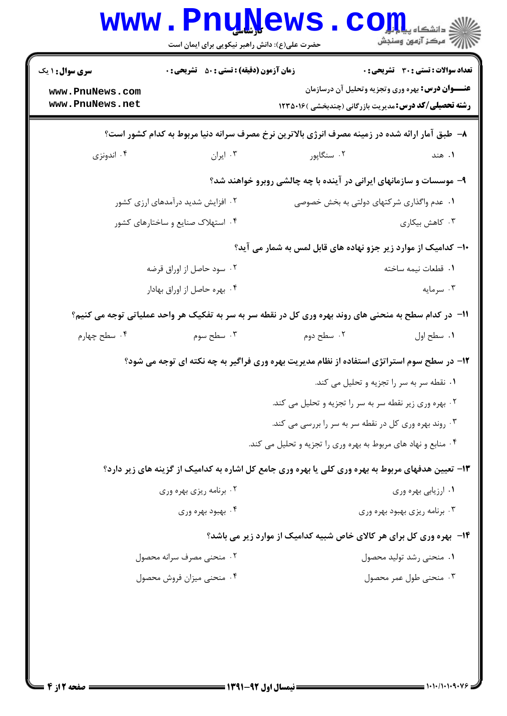|                                                              | <b>www.PnuNews</b><br>حضرت علی(ع): دانش راهبر نیکویی برای ایمان است |                                                                                                                                                                         |  |
|--------------------------------------------------------------|---------------------------------------------------------------------|-------------------------------------------------------------------------------------------------------------------------------------------------------------------------|--|
| <b>سری سوال : ۱ یک</b><br>www.PnuNews.com<br>www.PnuNews.net | <b>زمان آزمون (دقیقه) : تستی : 50 ٪ تشریحی : 0</b>                  | <b>تعداد سوالات : تستي : 30 ٪ تشريحي : 0</b><br><b>عنـــوان درس:</b> بهره وري وتجزيه وتحليل آن درسازمان<br><b>رشته تحصیلی/کد درس:</b> مدیریت بازرگانی (چندبخشی )۱۲۳۵۰۱۶ |  |
|                                                              |                                                                     | ۸– طبق آمار ارائه شده در زمینه مصرف انرژی بالاترین نرخ مصرف سرانه دنیا مربوط به کدام کشور است؟                                                                          |  |
| ۰۴ اندونزی                                                   | ۰۳ ایران                                                            | ۰۲ سنگاپور<br>۱. هند                                                                                                                                                    |  |
|                                                              |                                                                     | ۹- موسسات و سازمانهای ایرانی در آینده با چه چالشی روبرو خواهند شد؟                                                                                                      |  |
| ۰۲ افزایش شدید درآمدهای ارزی کشور                            |                                                                     | ۰۱ عدم واگذاری شرکتهای دولتی به بخش خصوصی                                                                                                                               |  |
| ۰۴ استهلاک صنایع و ساختارهای کشور                            |                                                                     | ۰۳ کاهش بیکاری                                                                                                                                                          |  |
|                                                              |                                                                     | ∙ا− کدامیک از موارد زیر جزو نهاده های قابل لمس به شمار می آید؟                                                                                                          |  |
| ۰۲ سود حاصل از اوراق قرضه                                    |                                                                     | ٠١. قطعات نيمه ساخته                                                                                                                                                    |  |
| ۰۴ بهره حاصل از اوراق بهادار                                 |                                                                     | ۰۳ سرمایه                                                                                                                                                               |  |
|                                                              |                                                                     | 11– در کدام سطح به منحنی های روند بهره وری کل در نقطه سر به سر به تفکیک هر واحد عملیاتی توجه می کنیم؟                                                                   |  |
| ۰۴ سطح چهارم                                                 | ۰۳ سطح سوم                                                          | ۲. سطح دوم<br>١. سطح اول                                                                                                                                                |  |
|                                                              |                                                                     | ۱۲- در سطح سوم استراتژی استفاده از نظام مدیریت بهره وری فراگیر به چه نکته ای توجه می شود؟                                                                               |  |
|                                                              |                                                                     | ۰۱ نقطه سر به سر را تجزیه و تحلیل می کند.                                                                                                                               |  |
|                                                              |                                                                     | ۰۲ بهره وری زیر نقطه سر به سر را تجزیه و تحلیل می کند.                                                                                                                  |  |
|                                                              |                                                                     | ۰۳ روند بهره وری کل در نقطه سر به سر را بررسی می کند.                                                                                                                   |  |
|                                                              |                                                                     | ۰۴ منابع و نهاد های مربوط به بهره وری را تجزیه و تحلیل می کند.                                                                                                          |  |
|                                                              |                                                                     | ۱۳- تعیین هدفهای مربوط به بهره وری کلی یا بهره وری جامع کل اشاره به کدامیک از گزینه های زیر دارد؟                                                                       |  |
|                                                              | ۰۲ برنامه ریزی بهره وری                                             | ۰۱ ارزیابی بهره وری                                                                                                                                                     |  |
|                                                              | ۰۴ بهبود بهره وری                                                   | ۰۳ برنامه ریزی بهبود بهره وری                                                                                                                                           |  |
|                                                              |                                                                     | ۱۴- بهره وری کل برای هر کالای خاص شبیه کدامیک از موارد زیر می باشد؟                                                                                                     |  |
|                                                              | ۰۲ منحنی مصرف سرانه محصول                                           | ۰۱ منحنی رشد تولید محصول                                                                                                                                                |  |
|                                                              | ۰۴ منحنی میزان فروش محصول                                           | ۰۳ منحنی طول عمر محصول                                                                                                                                                  |  |
|                                                              |                                                                     |                                                                                                                                                                         |  |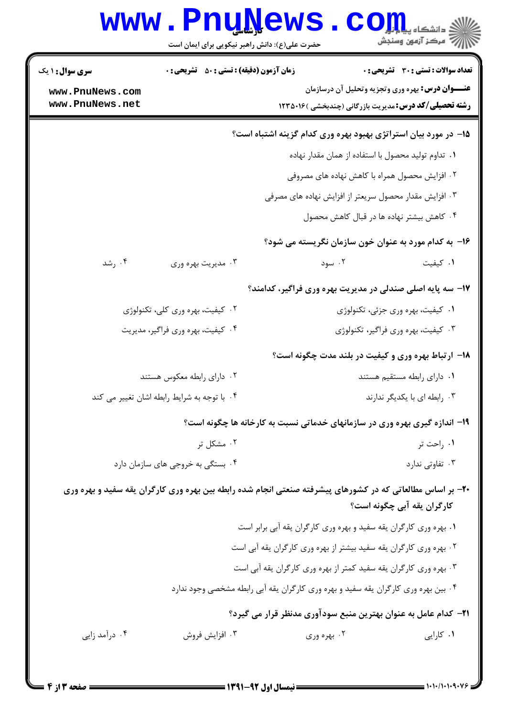| <b>www.PnuNews</b>                                                                                                                             | حضرت علی(ع): دانش راهبر نیکویی برای ایمان است                                      | الاد دانشکاه پیام <mark>بر</mark> ی ا<br>الله سرکز آزمون وسنجش                                                                                              |                                       |
|------------------------------------------------------------------------------------------------------------------------------------------------|------------------------------------------------------------------------------------|-------------------------------------------------------------------------------------------------------------------------------------------------------------|---------------------------------------|
| <b>سری سوال : ۱ یک</b><br>www.PnuNews.com<br>www.PnuNews.net                                                                                   | زمان آزمون (دقیقه) : تستی : 50 ٪ تشریحی : 0                                        | <b>عنـــوان درس:</b> بهره وري وتجزيه وتحليل آن درسازمان<br><b>رشته تحصیلی/کد درس:</b> مدیریت بازرگانی (چندبخشی )۱۲۳۵۰۱۶                                     | تعداد سوالات : تستي : 30 ٪ تشريحي : 0 |
|                                                                                                                                                | ۱۵- در مورد بیان استراتژی بهبود بهره وری کدام گزینه اشتباه است؟                    | ٠١ تداوم توليد محصول با استفاده از همان مقدار نهاده<br>۰۲ افزایش محصول همراه با کاهش نهاده های مصروفی                                                       |                                       |
|                                                                                                                                                |                                                                                    | ۰۳ افزایش مقدار محصول سریعتر از افزایش نهاده های مصرفی<br>۴. كاهش بيشتر نهاده ها در قبال كاهش محصول<br>۱۶– به کدام مورد به عنوان خون سازمان نگریسته می شود؟ |                                       |
| ۰۴ رشد<br>۰۳ مدیریت بهره وری                                                                                                                   |                                                                                    | ۰۲ سود                                                                                                                                                      | ۰۱ کیفیت                              |
| ۰۲ کیفیت، بهره وری کلی، تکنولوژی                                                                                                               |                                                                                    | <b>۱۷</b> - سه پایه اصلی صندلی در مدیریت بهره وری فراگیر، کدامند؟<br>۰۱ کیفیت، بهره وری جزئی، تکنولوژی                                                      |                                       |
| ۰۴ کیفیت، بهره وری فراگیر، مدیریت                                                                                                              |                                                                                    | ۰۳ کیفیت، بهره وری فراگیر، تکنولوژی<br><b>۱۸</b> - ارتباط بهره وری و کیفیت در بلند مدت چگونه است؟                                                           |                                       |
| ۰۲ دارای رابطه معکوس هستند<br>۰۴ با توجه به شرایط رابطه اشان تغییر می کند                                                                      |                                                                                    | ٠١ داراي رابطه مستقيم هستند<br>۰۳ رابطه ای با یکدیگر ندارند                                                                                                 |                                       |
| ۰۲ مشکل تر                                                                                                                                     | ۱۹- اندازه گیری بهره وری در سازمانهای خدماتی نسبت به کارخانه ها چگونه است؟         |                                                                                                                                                             | ۰۱ راحت تر                            |
| ۰۴ بستگی به خروجی های سازمان دارد<br>۲۰- بر اساس مطالعاتی که در کشورهای پیشرفته صنعتی انجام شده رابطه بین بهره وری کارگران یقه سفید و بهره وری |                                                                                    | کارگران یقه آبی چگونه است؟                                                                                                                                  | ۰۳ تفاوتی ندارد                       |
|                                                                                                                                                | ۲ . بهره وری کارگران یقه سفید بیشتر از بهره وری کارگران یقه آبی است                | ۰۱ بهره وری کارگران یقه سفید و بهره وری کارگران یقه آبی برابر است                                                                                           |                                       |
|                                                                                                                                                | ۰۴ بین بهره وری کارگران یقه سفید و بهره وری کارگران یقه آبی رابطه مشخصی وجود ندارد | ۰۳ بهره وری کارگران یقه سفید کمتر از بهره وری کارگران یقه آبی است                                                                                           |                                       |
| ۰۴ درآمد زایی<br>۰۳ افزايش فروش                                                                                                                | <b>۲۱</b> – کدام عامل به عنوان بهترین منبع سودآوری مدنظر قرار می گیرد؟             | ۰۲ بهره وری                                                                                                                                                 | ۰۱ کارایی                             |